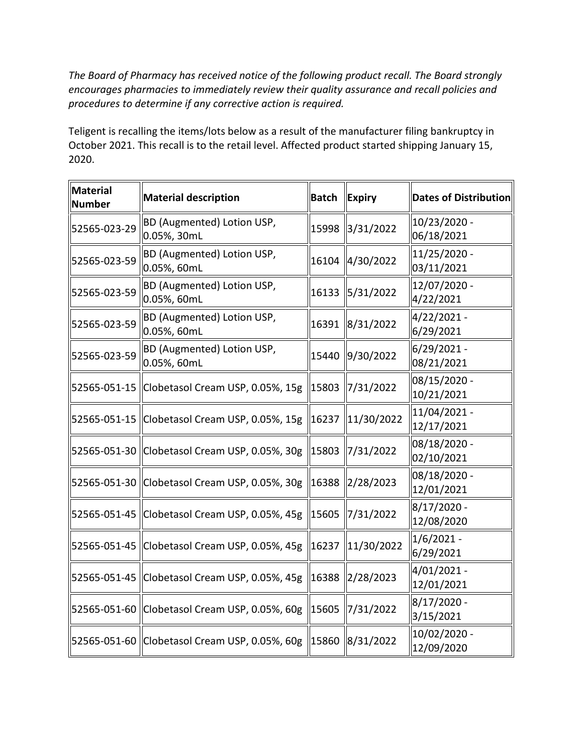*The Board of Pharmacy has received notice of the following product recall. The Board strongly encourages pharmacies to immediately review their quality assurance and recall policies and procedures to determine if any corrective action is required.* 

 October 2021. This recall is to the retail level. Affected product started shipping January 15, Teligent is recalling the items/lots below as a result of the manufacturer filing bankruptcy in 2020.

| <b>Material</b><br>Number | <b>Material description</b>                     | <b>Batch</b> | <b>Expiry</b>      | <b>Dates of Distribution</b> |
|---------------------------|-------------------------------------------------|--------------|--------------------|------------------------------|
| 52565-023-29              | BD (Augmented) Lotion USP,<br>0.05%, 30mL       | 15998        | 3/31/2022          | 10/23/2020 -<br>06/18/2021   |
| 52565-023-59              | BD (Augmented) Lotion USP,<br>0.05%, 60mL       | 16104        | 4/30/2022          | 11/25/2020 -<br>03/11/2021   |
| 52565-023-59              | BD (Augmented) Lotion USP,<br>0.05%, 60mL       | 16133        | 5/31/2022          | 12/07/2020 -<br>4/22/2021    |
| 52565-023-59              | BD (Augmented) Lotion USP,<br>0.05%, 60mL       | 16391        | 8/31/2022          | 4/22/2021-<br>6/29/2021      |
| 52565-023-59              | BD (Augmented) Lotion USP,<br>0.05%, 60mL       |              | 15440 9/30/2022    | $6/29/2021 -$<br>08/21/2021  |
|                           | 52565-051-15 Clobetasol Cream USP, 0.05%, 15g   | 15803        | 7/31/2022          | 08/15/2020 -<br>10/21/2021   |
|                           | 52565-051-15 Clobetasol Cream USP, 0.05%, 15g   | 16237        | 11/30/2022         | 11/04/2021 -<br>12/17/2021   |
|                           | 52565-051-30 Clobetasol Cream USP, 0.05%, 30g   | 15803        | 7/31/2022          | 08/18/2020 -<br>02/10/2021   |
|                           | 52565-051-30   Clobetasol Cream USP, 0.05%, 30g | 16388        | 2/28/2023          | 08/18/2020 -<br>12/01/2021   |
|                           | 52565-051-45 Clobetasol Cream USP, 0.05%, 45g   | 15605        | 7/31/2022          | 8/17/2020 -<br>12/08/2020    |
|                           | 52565-051-45   Clobetasol Cream USP, 0.05%, 45g |              | 16237   11/30/2022 | $1/6/2021 -$<br>6/29/2021    |
|                           | 52565-051-45 Clobetasol Cream USP, 0.05%, 45g   |              | 16388 2/28/2023    | 4/01/2021 -<br>12/01/2021    |
|                           | 52565-051-60 Clobetasol Cream USP, 0.05%, 60g   |              | 15605   7/31/2022  | $8/17/2020$ -<br>3/15/2021   |
|                           | 52565-051-60 Clobetasol Cream USP, 0.05%, 60g   |              | 15860 8/31/2022    | 10/02/2020 -<br>12/09/2020   |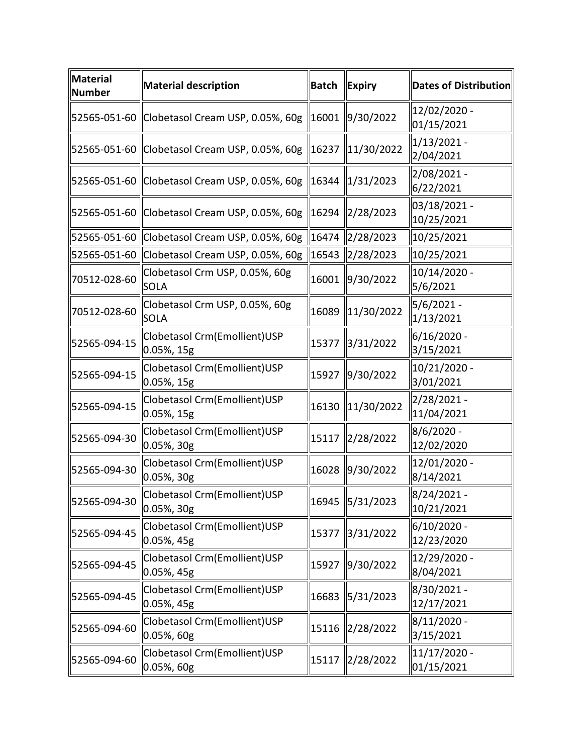| <b>Material</b><br><b>Number</b> | <b>Material description</b>                                         | <b>Batch</b> | <b>Expiry</b>   | Dates of Distribution        |
|----------------------------------|---------------------------------------------------------------------|--------------|-----------------|------------------------------|
|                                  | 52565-051-60 Clobetasol Cream USP, 0.05%, 60g                       | $\ 16001\ $  | $\ 9/30/2022\ $ | 12/02/2020 -<br>01/15/2021   |
|                                  | 52565-051-60 Clobetasol Cream USP, 0.05%, 60g                       | 16237        | 11/30/2022      | $1/13/2021 -$<br>2/04/2021   |
|                                  | 52565-051-60   Clobetasol Cream USP, 0.05%, 60g   16344   1/31/2023 |              |                 | 2/08/2021 -<br>6/22/2021     |
|                                  | 52565-051-60 Clobetasol Cream USP, 0.05%, 60g                       | 16294        | 2/28/2023       | 03/18/2021 -<br>10/25/2021   |
|                                  | 52565-051-60  Clobetasol Cream USP, 0.05%, 60g                      | 16474        | 2/28/2023       | 10/25/2021                   |
|                                  | 52565-051-60 Clobetasol Cream USP, 0.05%, 60g                       | 16543        | 2/28/2023       | 10/25/2021                   |
| 70512-028-60                     | Clobetasol Crm USP, 0.05%, 60g<br><b>SOLA</b>                       | 16001        | 9/30/2022       | 10/14/2020 -<br>5/6/2021     |
| 70512-028-60                     | Clobetasol Crm USP, 0.05%, 60g<br><b>SOLA</b>                       | 16089        | 11/30/2022      | 5/6/2021 -<br>1/13/2021      |
| 52565-094-15                     | Clobetasol Crm(Emollient)USP<br>0.05%, 15g                          | 15377        | 3/31/2022       | 6/16/2020 -<br>3/15/2021     |
| 52565-094-15                     | Clobetasol Crm(Emollient)USP<br>$0.05\%$ , 15g                      | 15927        | 9/30/2022       | 10/21/2020 -<br>3/01/2021    |
| 52565-094-15                     | Clobetasol Crm(Emollient)USP<br>$0.05%$ , 15g                       | 16130        | 11/30/2022      | 2/28/2021 -<br>11/04/2021    |
| 52565-094-30                     | Clobetasol Crm(Emollient)USP<br>0.05%, 30g                          | 15117        | 2/28/2022       | 8/6/2020 -<br>12/02/2020     |
| 52565-094-30                     | Clobetasol Crm(Emollient)USP<br>$0.05\%$ , 30g                      | 16028        | 9/30/2022       | 12/01/2020 -<br>8/14/2021    |
| 52565-094-30                     | Clobetasol Crm(Emollient)USP<br>$0.05%$ , 30g                       | 16945        | 5/31/2023       | 8/24/2021 -<br>10/21/2021    |
| 52565-094-45                     | Clobetasol Crm(Emollient)USP<br>0.05%, 45g                          | 15377        | 3/31/2022       | 6/10/2020 -<br>12/23/2020    |
| 52565-094-45                     | Clobetasol Crm(Emollient)USP<br>0.05%, 45g                          | 15927        | 9/30/2022       | 12/29/2020 -<br>8/04/2021    |
| 52565-094-45                     | Clobetasol Crm(Emollient)USP<br>0.05%, 45g                          | 16683        | 5/31/2023       | 8/30/2021 -<br>12/17/2021    |
| 52565-094-60                     | Clobetasol Crm(Emollient)USP<br>$0.05%$ , 60g                       | 15116        | 2/28/2022       | 8/11/2020 -<br>3/15/2021     |
| 52565-094-60                     | Clobetasol Crm(Emollient)USP<br>0.05%, 60g                          | 15117        | 2/28/2022       | $11/17/2020$ -<br>01/15/2021 |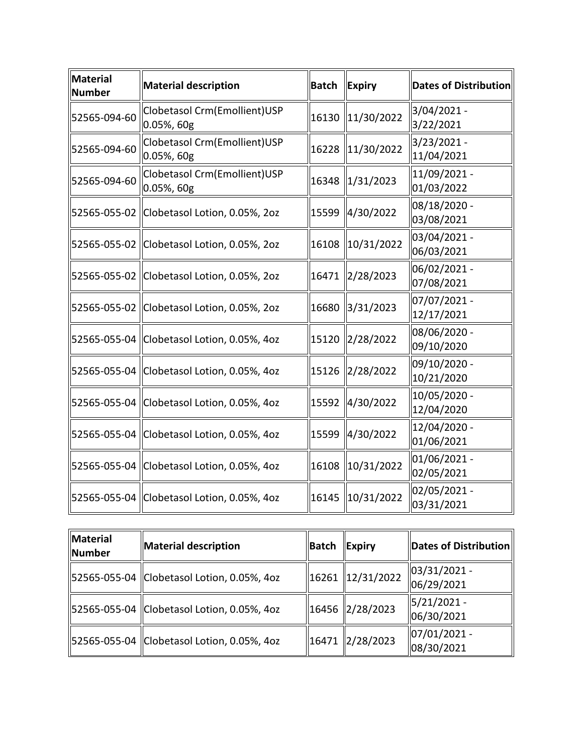| <b>Material</b><br>Number | <b>Material description</b>                      | <b>Batch</b> | <b>Expiry</b> | Dates of Distribution      |
|---------------------------|--------------------------------------------------|--------------|---------------|----------------------------|
| 52565-094-60              | Clobetasol Crm(Emollient)USP<br>$\ 0.05\%$ , 60g | 16130        | 11/30/2022    | 3/04/2021 -<br>3/22/2021   |
| 52565-094-60              | Clobetasol Crm(Emollient)USP<br>$0.05%$ , 60g    | 16228        | 11/30/2022    | 3/23/2021 -<br>11/04/2021  |
| 52565-094-60              | Clobetasol Crm(Emollient)USP<br>0.05%, 60g       | 16348        | 1/31/2023     | 11/09/2021 -<br>01/03/2022 |
|                           | 52565-055-02 Clobetasol Lotion, 0.05%, 2oz       | 15599        | 4/30/2022     | 08/18/2020 -<br>03/08/2021 |
|                           | 52565-055-02 Clobetasol Lotion, 0.05%, 2oz       | 16108        | 10/31/2022    | 03/04/2021 -<br>06/03/2021 |
|                           | 52565-055-02 Clobetasol Lotion, 0.05%, 2oz       | 16471        | 2/28/2023     | 06/02/2021 -<br>07/08/2021 |
|                           | 52565-055-02 Clobetasol Lotion, 0.05%, 2oz       | 16680        | 3/31/2023     | 07/07/2021 -<br>12/17/2021 |
|                           | 52565-055-04 Clobetasol Lotion, 0.05%, 4oz       | 15120        | 2/28/2022     | 08/06/2020 -<br>09/10/2020 |
|                           | 52565-055-04 Clobetasol Lotion, 0.05%, 4oz       | 15126        | 2/28/2022     | 09/10/2020 -<br>10/21/2020 |
|                           | 52565-055-04 Clobetasol Lotion, 0.05%, 4oz       | 15592        | 4/30/2022     | 10/05/2020 -<br>12/04/2020 |
|                           | 52565-055-04 Clobetasol Lotion, 0.05%, 4oz       | 15599        | 4/30/2022     | 12/04/2020 -<br>01/06/2021 |
|                           | 52565-055-04 Clobetasol Lotion, 0.05%, 4oz       | 16108        | 10/31/2022    | 01/06/2021 -<br>02/05/2021 |
|                           | 52565-055-04 Clobetasol Lotion, 0.05%, 4oz       | 16145        | 10/31/2022    | 02/05/2021 -<br>03/31/2021 |

| Material<br>Number | Material description                       | Batch | Expiry             | Dates of Distribution              |
|--------------------|--------------------------------------------|-------|--------------------|------------------------------------|
|                    | 52565-055-04 Clobetasol Lotion, 0.05%, 4oz |       | 16261   12/31/2022 | $ 03/31/2021 -$<br>06/29/2021      |
|                    | 52565-055-04 Clobetasol Lotion, 0.05%, 4oz |       | 16456   2/28/2023  | $\frac{15}{21/2021}$<br>06/30/2021 |
|                    | 52565-055-04 Clobetasol Lotion, 0.05%, 4oz |       | 16471   2/28/2023  | $ 07/01/2021 -$<br>08/30/2021      |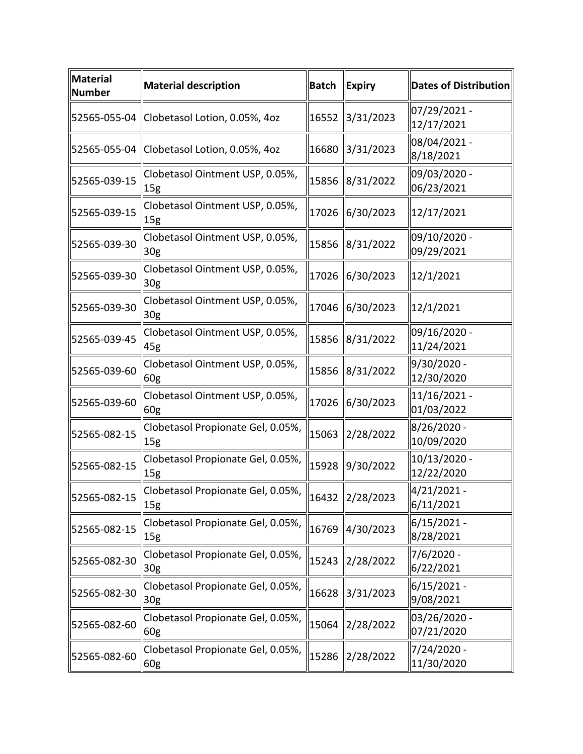| Material<br><b>Number</b> | <b>Material description</b>                                                                  | Batch | <b>Expiry</b>   | <b>Dates of Distribution</b> |
|---------------------------|----------------------------------------------------------------------------------------------|-------|-----------------|------------------------------|
|                           | 52565-055-04 Clobetasol Lotion, 0.05%, 4oz                                                   | 16552 | 3/31/2023       | 07/29/2021 -<br>12/17/2021   |
|                           | 52565-055-04 Clobetasol Lotion, 0.05%, 4oz                                                   | 16680 | 3/31/2023       | 08/04/2021 -<br>8/18/2021    |
| 52565-039-15              | Clobetasol Ointment USP, 0.05%,<br>15 <sub>g</sub>                                           |       | 15856 8/31/2022 | 09/03/2020 -<br>06/23/2021   |
| 52565-039-15              | Clobetasol Ointment USP, 0.05%,<br>15 <sub>g</sub>                                           | 17026 | 6/30/2023       | 12/17/2021                   |
| 52565-039-30              | Clobetasol Ointment USP, 0.05%,<br>30 <sub>g</sub>                                           |       | 15856 8/31/2022 | 09/10/2020 -<br>09/29/2021   |
| 52565-039-30              | Clobetasol Ointment USP, 0.05%,<br>30 <sub>g</sub>                                           | 17026 | 6/30/2023       | 12/1/2021                    |
| 52565-039-30              | Clobetasol Ointment USP, 0.05%,<br>30 <sub>g</sub>                                           |       | 17046 6/30/2023 | 12/1/2021                    |
| 52565-039-45              | Clobetasol Ointment USP, 0.05%,<br>45g                                                       | 15856 | 8/31/2022       | 09/16/2020 -<br>11/24/2021   |
| 52565-039-60              | Clobetasol Ointment USP, 0.05%,<br>60g                                                       | 15856 | 8/31/2022       | 9/30/2020 -<br>12/30/2020    |
| 52565-039-60              | Clobetasol Ointment USP, 0.05%,<br>60g                                                       | 17026 | 6/30/2023       | 11/16/2021 -<br>01/03/2022   |
| 52565-082-15              | Clobetasol Propionate Gel, 0.05%,<br>15g                                                     | 15063 | 2/28/2022       | 8/26/2020 -<br>10/09/2020    |
| 52565-082-15              | Clobetasol Propionate Gel, 0.05%,<br>15g                                                     | 15928 | 9/30/2022       | 10/13/2020 -<br>12/22/2020   |
| 52565-082-15              | Clobetasol Propionate Gel, 0.05%, $\parallel$ 16432 $\parallel$ 2/28/2023<br>$\parallel$ 15g |       |                 | 4/21/2021 -<br>6/11/2021     |
| 52565-082-15              | Clobetasol Propionate Gel, 0.05%,<br>15g                                                     | 16769 | 4/30/2023       | $6/15/2021 -$<br>8/28/2021   |
| 52565-082-30              | Clobetasol Propionate Gel, 0.05%,<br>30 <sub>g</sub>                                         | 15243 | 2/28/2022       | 7/6/2020 -<br>6/22/2021      |
| 52565-082-30              | Clobetasol Propionate Gel, 0.05%,<br>30 <sub>g</sub>                                         | 16628 | 3/31/2023       | $6/15/2021 -$<br>9/08/2021   |
| 52565-082-60              | Clobetasol Propionate Gel, 0.05%,<br>60g                                                     | 15064 | 2/28/2022       | 03/26/2020 -<br>07/21/2020   |
| 52565-082-60              | Clobetasol Propionate Gel, 0.05%,<br>60g                                                     | 15286 | 2/28/2022       | 7/24/2020 -<br>11/30/2020    |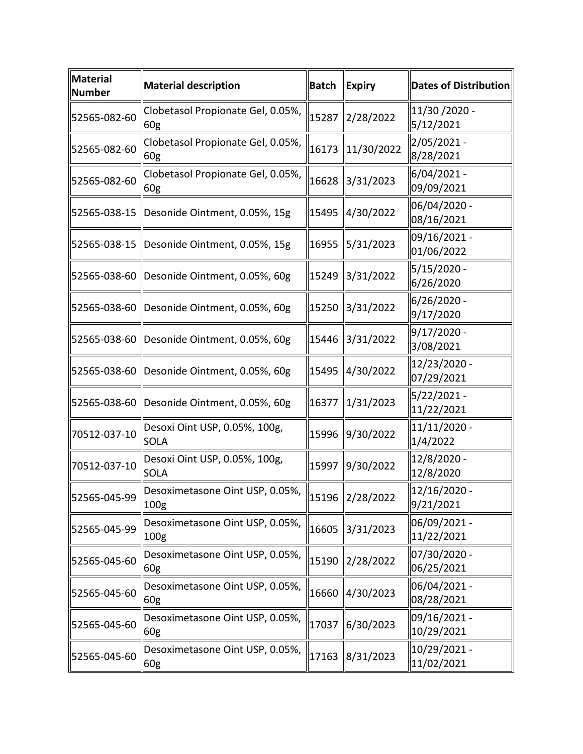| $\ $ Material<br><b>Number</b> | <b>Material description</b>                             | <b>Batch</b> | $\ $ Expiry         | <b>Dates of Distribution</b> |
|--------------------------------|---------------------------------------------------------|--------------|---------------------|------------------------------|
| 52565-082-60                   | Clobetasol Propionate Gel, 0.05%,<br>60g                | 15287        | 2/28/2022           | 11/30 / 2020 -<br>5/12/2021  |
| 52565-082-60                   | Clobetasol Propionate Gel, 0.05%,<br>60g                | 16173        | 11/30/2022          | 2/05/2021 -<br>8/28/2021     |
| 52565-082-60                   | Clobetasol Propionate Gel, 0.05%,<br>60g                | 16628        | 3/31/2023           | $6/04/2021 -$<br>09/09/2021  |
|                                | 52565-038-15 Desonide Ointment, 0.05%, 15g              | 15495        | 4/30/2022           | 06/04/2020 -<br>08/16/2021   |
|                                | 52565-038-15 Desonide Ointment, 0.05%, 15g              | 16955        | 5/31/2023           | 09/16/2021 -<br>01/06/2022   |
|                                | 52565-038-60 Desonide Ointment, 0.05%, 60g              | 15249        | 3/31/2022           | $5/15/2020$ -<br>6/26/2020   |
|                                | 52565-038-60 Desonide Ointment, 0.05%, 60g              | 15250        | 3/31/2022           | 6/26/2020 -<br>9/17/2020     |
|                                | 52565-038-60 Desonide Ointment, 0.05%, 60g              | 15446        | 3/31/2022           | $9/17/2020 -$<br>3/08/2021   |
|                                | 52565-038-60   Desonide Ointment, 0.05%, 60g            | 15495        | 4/30/2022           | 12/23/2020 -<br>07/29/2021   |
|                                | 52565-038-60 Desonide Ointment, 0.05%, 60g              | 16377        | 1/31/2023           | $5/22/2021 -$<br>11/22/2021  |
| 70512-037-10                   | Desoxi Oint USP, 0.05%, 100g,<br><b>SOLA</b>            | 15996        | 9/30/2022           | 11/11/2020 -<br>1/4/2022     |
| 70512-037-10                   | Desoxi Oint USP, 0.05%, 100g,<br><b>SOLA</b>            | 15997        | 9/30/2022           | 12/8/2020 -<br>12/8/2020     |
| 52565-045-99                   | Desoximetasone Oint USP, 0.05%, 15196 2/28/2022<br>100g |              |                     | 12/16/2020 -<br>9/21/2021    |
| 52565-045-99                   | Desoximetasone Oint USP, 0.05%,<br>100 <sub>g</sub>     | 16605        | 3/31/2023           | 06/09/2021 -<br>11/22/2021   |
| 52565-045-60                   | Desoximetasone Oint USP, 0.05%,<br>60g                  | 15190        | 2/28/2022           | 07/30/2020 -<br>06/25/2021   |
| 52565-045-60                   | Desoximetasone Oint USP, 0.05%,<br>60g                  | 16660        | $\frac{4}{30/2023}$ | 06/04/2021 -<br>08/28/2021   |
| 52565-045-60                   | Desoximetasone Oint USP, 0.05%,<br>60g                  | 17037        | 6/30/2023           | 09/16/2021 -<br>10/29/2021   |
| 52565-045-60                   | Desoximetasone Oint USP, 0.05%,<br>60g                  | 17163        | 8/31/2023           | 10/29/2021 -<br>11/02/2021   |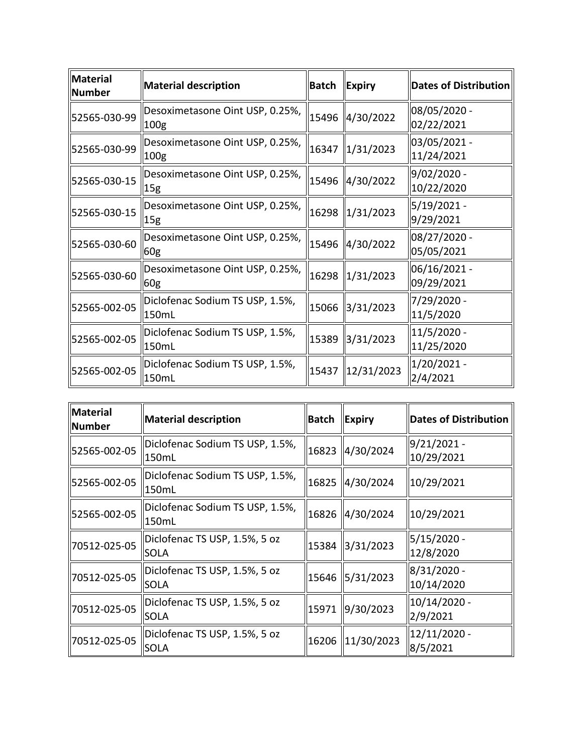| Material<br>Number | Material description                                | Batch | Expiry                 | Dates of Distribution         |
|--------------------|-----------------------------------------------------|-------|------------------------|-------------------------------|
| 52565-030-99       | Desoximetasone Oint USP, 0.25%,<br>100 <sub>g</sub> |       | 15496 4/30/2022        | 08/05/2020 -<br>02/22/2021    |
| 52565-030-99       | Desoximetasone Oint USP, 0.25%,<br>100 <sub>g</sub> | 16347 | $\parallel$ 1/31/2023  | 03/05/2021 -<br>11/24/2021    |
| 52565-030-15       | Desoximetasone Oint USP, 0.25%,<br>15g              |       | 15496   4/30/2022      | 9/02/2020 -<br>10/22/2020     |
| 52565-030-15       | Desoximetasone Oint USP, 0.25%,<br> 15g             |       | 16298 1/31/2023        | $5/19/2021 -$<br>9/29/2021    |
| 52565-030-60       | Desoximetasone Oint USP, 0.25%,<br>60g              |       | 15496 4/30/2022        | 08/27/2020 -<br>05/05/2021    |
| 52565-030-60       | Desoximetasone Oint USP, 0.25%,<br>60g              | 16298 | $\ 1/31/2023\ $        | $ 06/16/2021 -$<br>09/29/2021 |
| 52565-002-05       | Diclofenac Sodium TS USP, 1.5%,<br>150mL            |       | 15066 3/31/2023        | 7/29/2020 -<br>11/5/2020      |
| 52565-002-05       | Diclofenac Sodium TS USP, 1.5%,<br>150mL            | 15389 | $\frac{1}{3}$ /31/2023 | $11/5/2020$ -<br>11/25/2020   |
| 52565-002-05       | Diclofenac Sodium TS USP, 1.5%,<br>150mL            | 15437 | $\parallel$ 12/31/2023 | 1/20/2021 -<br>2/4/2021       |

| <b>Material</b><br><b>Number</b> | Material description                         | <b>Batch</b> | <b>Expiry</b>   | <b>Dates of Distribution</b> |
|----------------------------------|----------------------------------------------|--------------|-----------------|------------------------------|
| 52565-002-05                     | Diclofenac Sodium TS USP, 1.5%,<br>150mL     | 16823        | 4/30/2024       | $9/21/2021$ -<br>10/29/2021  |
| 52565-002-05                     | Diclofenac Sodium TS USP, 1.5%,<br>150mL     | 16825        | 4/30/2024       | 10/29/2021                   |
| 52565-002-05                     | Diclofenac Sodium TS USP, 1.5%,<br>150mL     | 16826        | 4/30/2024       | 10/29/2021                   |
| 70512-025-05                     | Diclofenac TS USP, 1.5%, 5 oz<br><b>SOLA</b> |              | 15384 3/31/2023 | 5/15/2020 -<br>12/8/2020     |
| 70512-025-05                     | Diclofenac TS USP, 1.5%, 5 oz<br><b>SOLA</b> |              | 15646 5/31/2023 | 8/31/2020 -<br>10/14/2020    |
| 70512-025-05                     | Diclofenac TS USP, 1.5%, 5 oz<br><b>SOLA</b> | 15971        | 9/30/2023       | 10/14/2020 -<br>2/9/2021     |
| 70512-025-05                     | Diclofenac TS USP, 1.5%, 5 oz<br><b>SOLA</b> | 16206        | $\ 11/30/2023$  | 12/11/2020 -<br>8/5/2021     |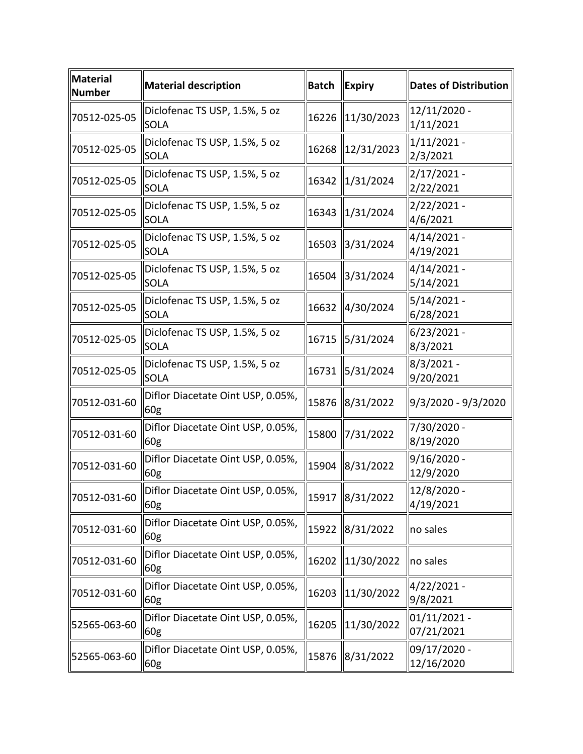| <b>Material</b><br><b>Number</b> | <b>Material description</b>                  | <b>Batch</b> | <b>Expiry</b>   | <b>Dates of Distribution</b> |
|----------------------------------|----------------------------------------------|--------------|-----------------|------------------------------|
| 70512-025-05                     | Diclofenac TS USP, 1.5%, 5 oz<br><b>SOLA</b> | 16226        | 11/30/2023      | 12/11/2020 -<br>1/11/2021    |
| 70512-025-05                     | Diclofenac TS USP, 1.5%, 5 oz<br><b>SOLA</b> | 16268        | 12/31/2023      | $1/11/2021 -$<br>2/3/2021    |
| 70512-025-05                     | Diclofenac TS USP, 1.5%, 5 oz<br><b>SOLA</b> | 16342        | 1/31/2024       | $2/17/2021 -$<br>2/22/2021   |
| 70512-025-05                     | Diclofenac TS USP, 1.5%, 5 oz<br><b>SOLA</b> | 16343        | 1/31/2024       | $2/22/2021 -$<br>4/6/2021    |
| 70512-025-05                     | Diclofenac TS USP, 1.5%, 5 oz<br><b>SOLA</b> | 16503        | 3/31/2024       | 4/14/2021 -<br>4/19/2021     |
| 70512-025-05                     | Diclofenac TS USP, 1.5%, 5 oz<br><b>SOLA</b> | 16504        | 3/31/2024       | 4/14/2021 -<br>5/14/2021     |
| 70512-025-05                     | Diclofenac TS USP, 1.5%, 5 oz<br><b>SOLA</b> | 16632        | 4/30/2024       | 5/14/2021 -<br>6/28/2021     |
| 70512-025-05                     | Diclofenac TS USP, 1.5%, 5 oz<br><b>SOLA</b> | 16715        | 5/31/2024       | $6/23/2021 -$<br>8/3/2021    |
| 70512-025-05                     | Diclofenac TS USP, 1.5%, 5 oz<br><b>SOLA</b> | 16731        | 5/31/2024       | 8/3/2021 -<br>9/20/2021      |
| 70512-031-60                     | Diflor Diacetate Oint USP, 0.05%,<br>60g     | 15876        | 8/31/2022       | 9/3/2020 - 9/3/2020          |
| 70512-031-60                     | Diflor Diacetate Oint USP, 0.05%,<br>60g     | 15800        | 7/31/2022       | 7/30/2020 -<br>8/19/2020     |
| 70512-031-60                     | Diflor Diacetate Oint USP, 0.05%,<br>60g     | 15904        | 8/31/2022       | $9/16/2020$ -<br>12/9/2020   |
| 70512-031-60                     | Diflor Diacetate Oint USP, 0.05%,<br>60g     |              | 15917 8/31/2022 | 12/8/2020 -<br>4/19/2021     |
| 70512-031-60                     | Diflor Diacetate Oint USP, 0.05%,<br>60g     | 15922        | 8/31/2022       | no sales                     |
| 70512-031-60                     | Diflor Diacetate Oint USP, 0.05%,<br>60g     | 16202        | 11/30/2022      | no sales                     |
| 70512-031-60                     | Diflor Diacetate Oint USP, 0.05%,<br>60g     | 16203        | 11/30/2022      | 4/22/2021 -<br>9/8/2021      |
| 52565-063-60                     | Diflor Diacetate Oint USP, 0.05%,<br>60g     | 16205        | 11/30/2022      | $01/11/2021 -$<br>07/21/2021 |
| 52565-063-60                     | Diflor Diacetate Oint USP, 0.05%,<br>60g     | 15876        | 8/31/2022       | 09/17/2020 -<br>12/16/2020   |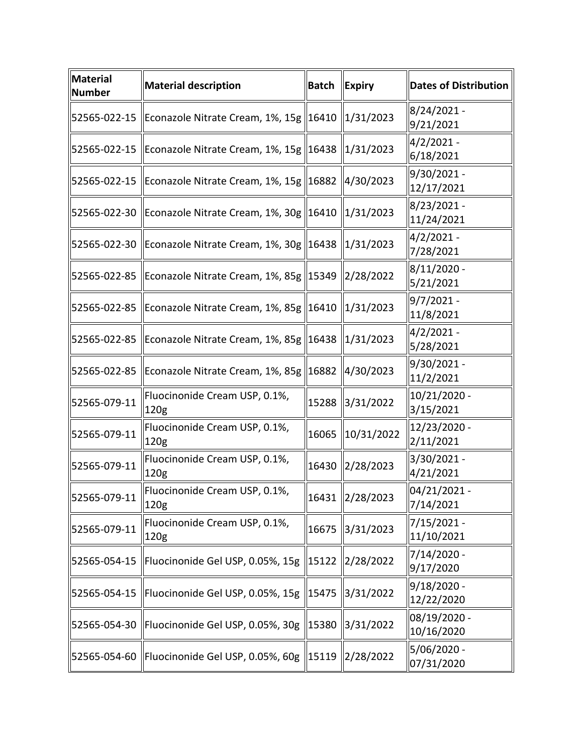| $\ $ Material<br><b>Number</b> | <b>Material description</b>                          | <b>Batch</b> | <b>Expiry</b>          | <b>Dates of Distribution</b> |
|--------------------------------|------------------------------------------------------|--------------|------------------------|------------------------------|
| 52565-022-15                   | Econazole Nitrate Cream, 1%, 15g   16410             |              | $\ 1/31/2023\ $        | 8/24/2021 -<br>9/21/2021     |
| 52565-022-15                   | Econazole Nitrate Cream, 1%, 15g   16438   1/31/2023 |              |                        | $4/2/2021 -$<br>6/18/2021    |
| 52565-022-15                   | Econazole Nitrate Cream, 1%, 15g   16882             |              | $\frac{1}{4}$ /30/2023 | 9/30/2021 -<br>12/17/2021    |
| 52565-022-30                   | Econazole Nitrate Cream, 1%, 30g   16410             |              | $\frac{1}{31/2023}$    | 8/23/2021 -<br>11/24/2021    |
| 52565-022-30                   | Econazole Nitrate Cream, 1%, 30g   16438             |              | $\ 1/31/2023\ $        | $4/2/2021 -$<br>7/28/2021    |
| 52565-022-85                   | Econazole Nitrate Cream, 1%, 85g   15349             |              | $\frac{2}{28}$ /2022   | 8/11/2020 -<br>5/21/2021     |
| 52565-022-85                   | Econazole Nitrate Cream, 1%, 85g   16410             |              | $\ 1/31/2023\ $        | $9/7/2021 -$<br>11/8/2021    |
| 52565-022-85                   | Econazole Nitrate Cream, 1%, 85g   16438             |              | $\ 1/31/2023\ $        | $4/2/2021 -$<br>5/28/2021    |
| 52565-022-85                   | Econazole Nitrate Cream, 1%, 85g   16882   4/30/2023 |              |                        | 9/30/2021 -<br>11/2/2021     |
| 52565-079-11                   | Fluocinonide Cream USP, 0.1%,<br>120g                | 15288        | 3/31/2022              | 10/21/2020 -<br>3/15/2021    |
| 52565-079-11                   | Fluocinonide Cream USP, 0.1%,<br>120g                | 16065        | 10/31/2022             | 12/23/2020 -<br>2/11/2021    |
| 52565-079-11                   | Fluocinonide Cream USP, 0.1%,<br>120g                | 16430        | 2/28/2023              | 3/30/2021 -<br>4/21/2021     |
| 52565-079-11                   | Fluocinonide Cream USP, 0.1%,<br> 120g               |              | 16431   2/28/2023      | 04/21/2021 -<br>7/14/2021    |
| 52565-079-11                   | Fluocinonide Cream USP, 0.1%,<br>120g                | 16675        | 3/31/2023              | 7/15/2021 -<br>11/10/2021    |
| 52565-054-15                   | Fluocinonide Gel USP, 0.05%, 15g                     | 15122        | 2/28/2022              | 7/14/2020 -<br>9/17/2020     |
| 52565-054-15                   | Fluocinonide Gel USP, 0.05%, 15g                     | 15475        | 3/31/2022              | 9/18/2020 -<br>12/22/2020    |
| 52565-054-30                   | Fluocinonide Gel USP, 0.05%, 30g                     | 15380        | 3/31/2022              | 08/19/2020 -<br>10/16/2020   |
| 52565-054-60                   | Fluocinonide Gel USP, 0.05%, 60g                     | 15119        | 2/28/2022              | 5/06/2020 -<br>07/31/2020    |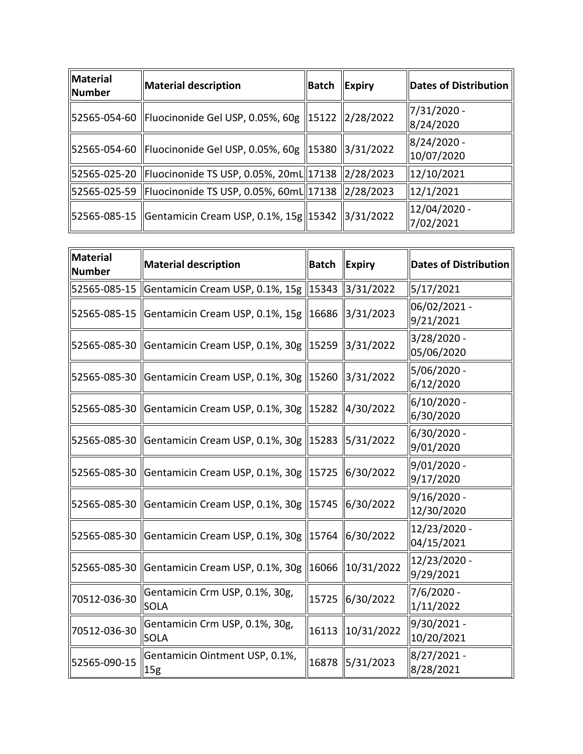| Material description |       | Dates of Distribution                                                                                                                                                                                                                                                                                                                                                                   |
|----------------------|-------|-----------------------------------------------------------------------------------------------------------------------------------------------------------------------------------------------------------------------------------------------------------------------------------------------------------------------------------------------------------------------------------------|
|                      |       | 7/31/2020 -<br>8/24/2020                                                                                                                                                                                                                                                                                                                                                                |
|                      |       | 8/24/2020 -<br>10/07/2020                                                                                                                                                                                                                                                                                                                                                               |
|                      |       | 12/10/2021                                                                                                                                                                                                                                                                                                                                                                              |
|                      |       | 12/1/2021                                                                                                                                                                                                                                                                                                                                                                               |
|                      |       | 12/04/2020 -<br>7/02/2021                                                                                                                                                                                                                                                                                                                                                               |
|                      | Batch | <b>Expiry</b><br>  52565-054-60   Fluocinonide Gel USP, 0.05%, 60g   15122   2/28/2022<br>  52565-054-60   Fluocinonide Gel USP, 0.05%, 60g   15380   3/31/2022<br>  52565-025-20   Fluocinonide TS USP, 0.05%, 20mL  17138   2/28/2023<br>  52565-025-59   Fluocinonide TS USP, 0.05%, 60mL  17138   2/28/2023<br>  52565-085-15   Gentamicin Cream USP, 0.1%, 15g   15342   3/31/2022 |

| Material<br><b>Number</b> | <b>Material description</b>                          | <b>Batch</b> | <b>Expiry</b>                                   | <b>Dates of Distribution</b> |
|---------------------------|------------------------------------------------------|--------------|-------------------------------------------------|------------------------------|
| 52565-085-15              | Gentamicin Cream USP, 0.1%, 15g   15343   3/31/2022  |              |                                                 | 5/17/2021                    |
| 52565-085-15              | Gentamicin Cream USP, 0.1%, 15g   16686              |              | 3/31/2023                                       | 06/02/2021 -<br>9/21/2021    |
| 52565-085-30              | Gentamicin Cream USP, 0.1%, 30g   15259   3/31/2022  |              |                                                 | 3/28/2020 -<br>05/06/2020    |
| 52565-085-30              | Gentamicin Cream USP, 0.1%, 30g   15260   3/31/2022  |              |                                                 | 5/06/2020 -<br>6/12/2020     |
| 52565-085-30              | Gentamicin Cream USP, 0.1%, 30g   15282   4/30/2022  |              |                                                 | 6/10/2020 -<br>6/30/2020     |
| 52565-085-30              | Gentamicin Cream USP, 0.1%, 30g   15283   5/31/2022  |              |                                                 | 6/30/2020 -<br>9/01/2020     |
| 52565-085-30              | Gentamicin Cream USP, 0.1%, 30g   15725   6/30/2022  |              |                                                 | 9/01/2020 -<br>9/17/2020     |
| 52565-085-30              | Gentamicin Cream USP, 0.1%, 30g   15745   6/30/2022  |              |                                                 | 9/16/2020 -<br>12/30/2020    |
| 52565-085-30              | Gentamicin Cream USP, 0.1%, 30g   15764   6/30/2022  |              |                                                 | 12/23/2020 -<br>04/15/2021   |
| 52565-085-30              | Gentamicin Cream USP, 0.1%, 30g   16066   10/31/2022 |              |                                                 | 12/23/2020 -<br>9/29/2021    |
| 70512-036-30              | Gentamicin Crm USP, 0.1%, 30g,<br><b>SOLA</b>        | 15725        | 6/30/2022                                       | 7/6/2020 -<br>1/11/2022      |
| 70512-036-30              | Gentamicin Crm USP, 0.1%, 30g,<br><b>SOLA</b>        | 16113        | $\left  \frac{10}{31}/ \frac{2022}{200}\right $ | 9/30/2021 -<br>10/20/2021    |
| 52565-090-15              | Gentamicin Ointment USP, 0.1%,<br>15 <sub>g</sub>    | 16878        | 5/31/2023                                       | 8/27/2021 -<br>8/28/2021     |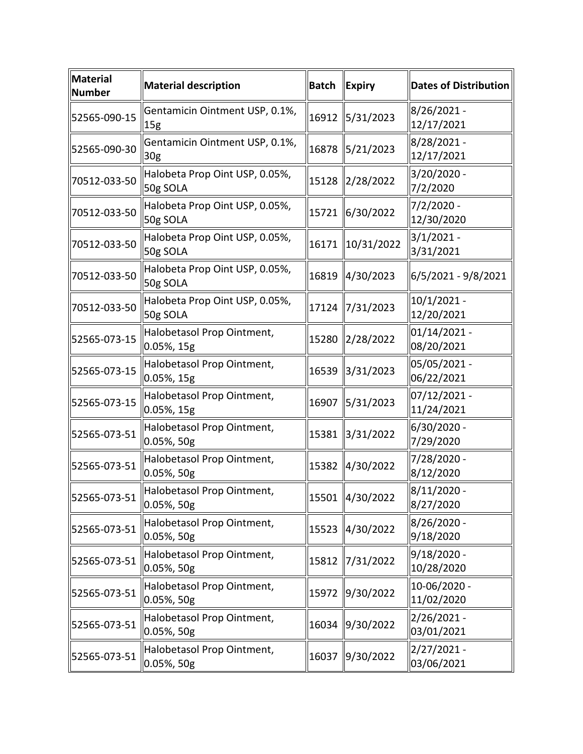| Material<br><b>Number</b> | <b>Material description</b>                       | <b>Batch</b> | Expiry          | <b>Dates of Distribution</b> |
|---------------------------|---------------------------------------------------|--------------|-----------------|------------------------------|
| 52565-090-15              | Gentamicin Ointment USP, 0.1%,<br>15g             | 16912        | 5/31/2023       | 8/26/2021 -<br>12/17/2021    |
| 52565-090-30              | Gentamicin Ointment USP, 0.1%,<br>30 <sub>g</sub> | 16878        | 5/21/2023       | 8/28/2021 -<br>12/17/2021    |
| 70512-033-50              | Halobeta Prop Oint USP, 0.05%,<br>50g SOLA        | 15128        | 2/28/2022       | 3/20/2020 -<br>7/2/2020      |
| 70512-033-50              | Halobeta Prop Oint USP, 0.05%,<br>50g SOLA        | 15721        | 6/30/2022       | $7/2/2020 -$<br>12/30/2020   |
| 70512-033-50              | Halobeta Prop Oint USP, 0.05%,<br>50g SOLA        | 16171        | 10/31/2022      | $3/1/2021 -$<br>3/31/2021    |
| 70512-033-50              | Halobeta Prop Oint USP, 0.05%,<br>50g SOLA        | 16819        | 4/30/2023       | 6/5/2021 - 9/8/2021          |
| 70512-033-50              | Halobeta Prop Oint USP, 0.05%,<br>50g SOLA        | 17124        | 7/31/2023       | $10/1/2021$ -<br>12/20/2021  |
| 52565-073-15              | Halobetasol Prop Ointment,<br>0.05%, 15g          | 15280        | 2/28/2022       | 01/14/2021 -<br>08/20/2021   |
| 52565-073-15              | Halobetasol Prop Ointment,<br>0.05%, 15g          | 16539        | 3/31/2023       | 05/05/2021 -<br>06/22/2021   |
| 52565-073-15              | Halobetasol Prop Ointment,<br>0.05%, 15g          | 16907        | 5/31/2023       | 07/12/2021 -<br>11/24/2021   |
| 52565-073-51              | Halobetasol Prop Ointment,<br>0.05%, 50g          | 15381        | 3/31/2022       | 6/30/2020 -<br>7/29/2020     |
| 52565-073-51              | Halobetasol Prop Ointment,<br>0.05%, 50g          | 15382        | 4/30/2022       | 7/28/2020 -<br>8/12/2020     |
| 52565-073-51              | Halobetasol Prop Ointment,<br>$0.05\%$ , 50g      |              | 15501 4/30/2022 | 8/11/2020 -<br>8/27/2020     |
| 52565-073-51              | Halobetasol Prop Ointment,<br>0.05%, 50g          | 15523        | 4/30/2022       | 8/26/2020 -<br>9/18/2020     |
| 52565-073-51              | Halobetasol Prop Ointment,<br>0.05%, 50g          | 15812        | 7/31/2022       | $9/18/2020$ -<br>10/28/2020  |
| 52565-073-51              | Halobetasol Prop Ointment,<br>0.05%, 50g          | 15972        | 9/30/2022       | 10-06/2020 -<br>11/02/2020   |
| 52565-073-51              | Halobetasol Prop Ointment,<br>0.05%, 50g          | 16034        | 9/30/2022       | $2/26/2021 -$<br>03/01/2021  |
| 52565-073-51              | Halobetasol Prop Ointment,<br>0.05%, 50g          | 16037        | 9/30/2022       | $2/27/2021 -$<br>03/06/2021  |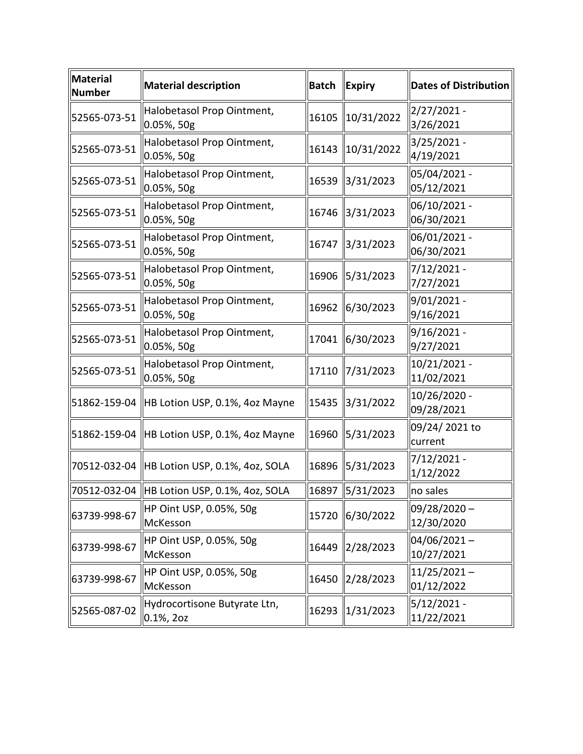| <b>Material</b><br><b>Number</b> | <b>Material description</b>                   | <b>Batch</b> | <b>Expiry</b>   | <b>Dates of Distribution</b> |
|----------------------------------|-----------------------------------------------|--------------|-----------------|------------------------------|
| 52565-073-51                     | Halobetasol Prop Ointment,<br>$0.05\%$ , 50g  | 16105        | 10/31/2022      | 2/27/2021 -<br>3/26/2021     |
| 52565-073-51                     | Halobetasol Prop Ointment,<br>$0.05%$ , 50g   | 16143        | 10/31/2022      | 3/25/2021 -<br>4/19/2021     |
| 52565-073-51                     | Halobetasol Prop Ointment,<br>$0.05\%$ , 50g  | 16539        | 3/31/2023       | 05/04/2021 -<br>05/12/2021   |
| 52565-073-51                     | Halobetasol Prop Ointment,<br>$0.05%$ , 50g   | 16746        | 3/31/2023       | 06/10/2021 -<br>06/30/2021   |
| 52565-073-51                     | Halobetasol Prop Ointment,<br>$0.05%$ , 50g   | 16747        | 3/31/2023       | 06/01/2021 -<br>06/30/2021   |
| 52565-073-51                     | Halobetasol Prop Ointment,<br>$0.05%$ , 50g   | 16906        | 5/31/2023       | 7/12/2021 -<br>7/27/2021     |
| 52565-073-51                     | Halobetasol Prop Ointment,<br>$0.05\%$ , 50g  | 16962        | 6/30/2023       | 9/01/2021 -<br>9/16/2021     |
| 52565-073-51                     | Halobetasol Prop Ointment,<br>0.05%, 50g      | 17041        | 6/30/2023       | 9/16/2021 -<br>9/27/2021     |
| 52565-073-51                     | Halobetasol Prop Ointment,<br>$0.05%$ , 50g   | 17110        | 7/31/2023       | 10/21/2021 -<br>11/02/2021   |
|                                  | 51862-159-04 HB Lotion USP, 0.1%, 4oz Mayne   | 15435        | 3/31/2022       | 10/26/2020 -<br>09/28/2021   |
|                                  | 51862-159-04 HB Lotion USP, 0.1%, 4oz Mayne   | 16960        | 5/31/2023       | 09/24/2021 to<br>current     |
|                                  | 70512-032-04   HB Lotion USP, 0.1%, 4oz, SOLA | 16896        | 5/31/2023       | 7/12/2021 -<br>1/12/2022     |
|                                  | 70512-032-04 HB Lotion USP, 0.1%, 4oz, SOLA   |              | 16897 5/31/2023 | no sales                     |
| 63739-998-67                     | HP Oint USP, 0.05%, 50g<br>McKesson           | 15720        | 6/30/2022       | $09/28/2020 -$<br>12/30/2020 |
| 63739-998-67                     | HP Oint USP, 0.05%, 50g<br>McKesson           | 16449        | 2/28/2023       | $04/06/2021 -$<br>10/27/2021 |
| 63739-998-67                     | HP Oint USP, 0.05%, 50g<br>McKesson           | 16450        | 2/28/2023       | $11/25/2021 -$<br>01/12/2022 |
| 52565-087-02                     | Hydrocortisone Butyrate Ltn,<br>$0.1\%$ , 20z | 16293        | 1/31/2023       | 5/12/2021 -<br>11/22/2021    |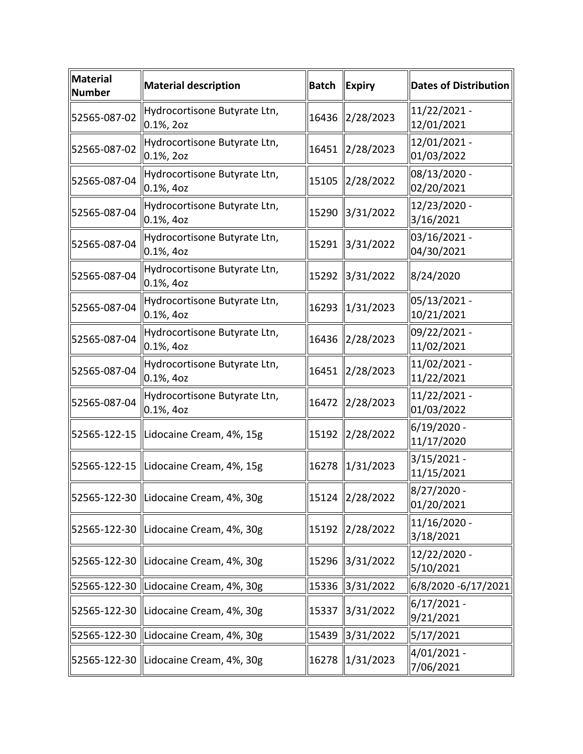| <b>Material</b><br><b>Number</b> | <b>Material description</b>                   | <b>Batch</b> | <b>Expiry</b>   | <b>Dates of Distribution</b> |
|----------------------------------|-----------------------------------------------|--------------|-----------------|------------------------------|
| 52565-087-02                     | Hydrocortisone Butyrate Ltn,<br>$0.1\%$ , 20z | 16436        | 2/28/2023       | 11/22/2021 -<br>12/01/2021   |
| 52565-087-02                     | Hydrocortisone Butyrate Ltn,<br>$0.1\%$ , 20z | 16451        | 2/28/2023       | 12/01/2021 -<br>01/03/2022   |
| 52565-087-04                     | Hydrocortisone Butyrate Ltn,<br>0.1%, 4oz     | 15105        | 2/28/2022       | 08/13/2020 -<br>02/20/2021   |
| 52565-087-04                     | Hydrocortisone Butyrate Ltn,<br>0.1%, 4oz     | 15290        | 3/31/2022       | 12/23/2020 -<br>3/16/2021    |
| 52565-087-04                     | Hydrocortisone Butyrate Ltn,<br>$0.1\%$ , 40z | 15291        | 3/31/2022       | 03/16/2021 -<br>04/30/2021   |
| 52565-087-04                     | Hydrocortisone Butyrate Ltn,<br>0.1%, 4oz     | 15292        | 3/31/2022       | 8/24/2020                    |
| 52565-087-04                     | Hydrocortisone Butyrate Ltn,<br>$0.1\%$ , 40z | 16293        | 1/31/2023       | 05/13/2021 -<br>10/21/2021   |
| 52565-087-04                     | Hydrocortisone Butyrate Ltn,<br>0.1%, 4oz     | 16436        | 2/28/2023       | 09/22/2021 -<br>11/02/2021   |
| 52565-087-04                     | Hydrocortisone Butyrate Ltn,<br>$0.1\%$ , 40z | 16451        | 2/28/2023       | 11/02/2021 -<br>11/22/2021   |
| 52565-087-04                     | Hydrocortisone Butyrate Ltn,<br>0.1%, 4oz     | 16472        | 2/28/2023       | 11/22/2021 -<br>01/03/2022   |
| 52565-122-15                     | Lidocaine Cream, 4%, 15g                      | 15192        | 2/28/2022       | 6/19/2020 -<br>11/17/2020    |
|                                  | 52565-122-15   Lidocaine Cream, 4%, 15g       | 16278        | 1/31/2023       | 3/15/2021 -<br>11/15/2021    |
|                                  | 52565-122-30  Lidocaine Cream, 4%, 30g        |              | 15124 2/28/2022 | 8/27/2020 -<br>01/20/2021    |
|                                  | 52565-122-30   Lidocaine Cream, 4%, 30g       | 15192        | 2/28/2022       | 11/16/2020 -<br>3/18/2021    |
| 52565-122-30                     | Lidocaine Cream, 4%, 30g                      | 15296        | 3/31/2022       | 12/22/2020 -<br>5/10/2021    |
| 52565-122-30                     | Lidocaine Cream, 4%, 30g                      | 15336        | 3/31/2022       | 6/8/2020 -6/17/2021          |
|                                  | 52565-122-30   Lidocaine Cream, 4%, 30g       | 15337        | 3/31/2022       | $6/17/2021 -$<br>9/21/2021   |
| 52565-122-30                     | Lidocaine Cream, 4%, 30g                      | 15439        | 3/31/2022       | 5/17/2021                    |
|                                  | 52565-122-30  Lidocaine Cream, 4%, 30g        | 16278        | 1/31/2023       | 4/01/2021 -<br>7/06/2021     |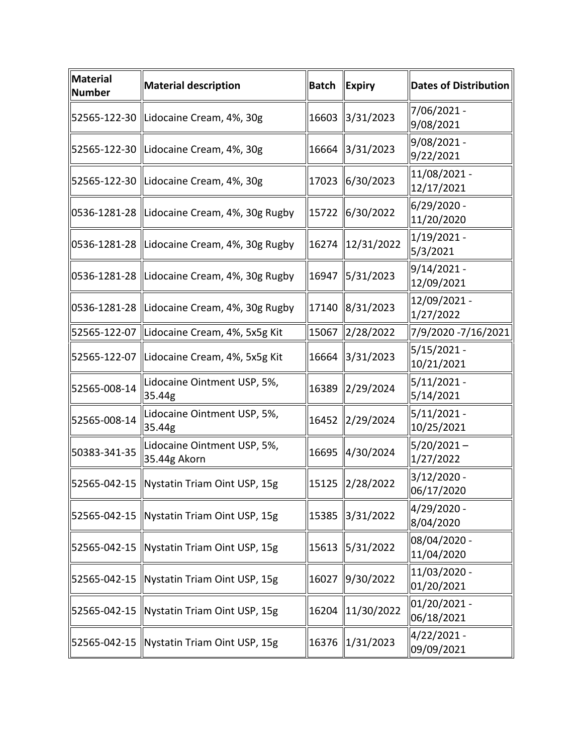| <b>Material</b><br><b>Number</b> | <b>Material description</b>                  | <b>Batch</b> | <b>Expiry</b>                       | Dates of Distribution       |
|----------------------------------|----------------------------------------------|--------------|-------------------------------------|-----------------------------|
|                                  | 52565-122-30 Lidocaine Cream, 4%, 30g        | 16603        | 3/31/2023                           | 7/06/2021 -<br>9/08/2021    |
|                                  | 52565-122-30  Lidocaine Cream, 4%, 30g       | 16664        | 3/31/2023                           | 9/08/2021 -<br>9/22/2021    |
|                                  | 52565-122-30  Lidocaine Cream, 4%, 30g       | 17023        | 6/30/2023                           | 11/08/2021 -<br>12/17/2021  |
|                                  | 0536-1281-28  Lidocaine Cream, 4%, 30g Rugby | 15722        | 6/30/2022                           | 6/29/2020 -<br>11/20/2020   |
|                                  | 0536-1281-28  Lidocaine Cream, 4%, 30g Rugby | 16274        | $\left  \frac{12}{31} \right  2022$ | $1/19/2021 -$<br>5/3/2021   |
|                                  | 0536-1281-28  Lidocaine Cream, 4%, 30g Rugby | 16947        | 5/31/2023                           | $9/14/2021 -$<br>12/09/2021 |
|                                  | 0536-1281-28  Lidocaine Cream, 4%, 30g Rugby | 17140        | 8/31/2023                           | 12/09/2021 -<br>1/27/2022   |
|                                  | 52565-122-07  Lidocaine Cream, 4%, 5x5g Kit  | 15067        | 2/28/2022                           | 7/9/2020 -7/16/2021         |
|                                  | 52565-122-07  Lidocaine Cream, 4%, 5x5g Kit  | 16664        | 3/31/2023                           | 5/15/2021 -<br>10/21/2021   |
| 52565-008-14                     | Lidocaine Ointment USP, 5%,<br>35.44g        | 16389        | 2/29/2024                           | 5/11/2021 -<br>5/14/2021    |
| 52565-008-14                     | Lidocaine Ointment USP, 5%,<br>35.44g        | 16452        | 2/29/2024                           | 5/11/2021 -<br>10/25/2021   |
| 50383-341-35                     | Lidocaine Ointment USP, 5%,<br>35.44g Akorn  | 16695        | 4/30/2024                           | $5/20/2021 -$<br>1/27/2022  |
|                                  | 52565-042-15   Nystatin Triam Oint USP, 15g  | 15125        | $\frac{2}{28/2022}$                 | 3/12/2020 -<br>06/17/2020   |
| 52565-042-15                     | Nystatin Triam Oint USP, 15g                 | 15385        | 3/31/2022                           | 4/29/2020 -<br>8/04/2020    |
|                                  | 52565-042-15   Nystatin Triam Oint USP, 15g  | 15613        | 5/31/2022                           | 08/04/2020 -<br>11/04/2020  |
| 52565-042-15                     | Nystatin Triam Oint USP, 15g                 | 16027        | 9/30/2022                           | 11/03/2020 -<br>01/20/2021  |
| 52565-042-15                     | Nystatin Triam Oint USP, 15g                 | 16204        | 11/30/2022                          | 01/20/2021 -<br> 06/18/2021 |
| 52565-042-15                     | Nystatin Triam Oint USP, 15g                 | 16376        | 1/31/2023                           | 4/22/2021 -<br>09/09/2021   |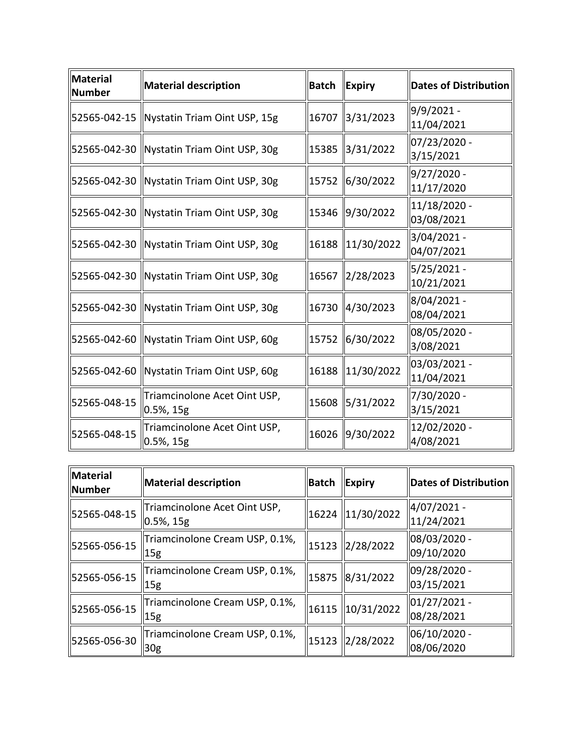| <b>Material</b><br><b>Number</b> | <b>Material description</b>                    | <b>Batch</b> | <b>Expiry</b>   | <b>Dates of Distribution</b> |
|----------------------------------|------------------------------------------------|--------------|-----------------|------------------------------|
|                                  | 52565-042-15   Nystatin Triam Oint USP, 15g    | 16707        | 3/31/2023       | 9/9/2021 -<br>11/04/2021     |
|                                  | 52565-042-30  Nystatin Triam Oint USP, 30g     | 15385        | 3/31/2022       | 07/23/2020 -<br>3/15/2021    |
|                                  | 52565-042-30   Nystatin Triam Oint USP, 30g    |              | 15752 6/30/2022 | 9/27/2020 -<br>11/17/2020    |
|                                  | 52565-042-30   Nystatin Triam Oint USP, 30g    |              | 15346 9/30/2022 | 11/18/2020 -<br>03/08/2021   |
|                                  | 52565-042-30   Nystatin Triam Oint USP, 30g    | 16188        | 11/30/2022      | 3/04/2021 -<br>04/07/2021    |
|                                  | 52565-042-30   Nystatin Triam Oint USP, 30g    | 16567        | 2/28/2023       | 5/25/2021 -<br>10/21/2021    |
|                                  | 52565-042-30  Nystatin Triam Oint USP, 30g     | 16730        | 4/30/2023       | 8/04/2021 -<br>08/04/2021    |
|                                  | 52565-042-60  Nystatin Triam Oint USP, 60g     | 15752        | 6/30/2022       | 08/05/2020 -<br>3/08/2021    |
|                                  | 52565-042-60  Nystatin Triam Oint USP, 60g     | 16188        | 11/30/2022      | 03/03/2021 -<br>11/04/2021   |
| 52565-048-15                     | Triamcinolone Acet Oint USP,<br>$ 0.5\% , 15g$ | 15608        | 5/31/2022       | 7/30/2020 -<br>3/15/2021     |
| 52565-048-15                     | Triamcinolone Acet Oint USP,<br>$ 0.5\%$ , 15g | 16026        | 9/30/2022       | 12/02/2020 -<br>4/08/2021    |

| Material<br>Number | Material description                              | Batch | $\ $ Expiry      | Dates of Distribution         |
|--------------------|---------------------------------------------------|-------|------------------|-------------------------------|
| 52565-048-15       | Triamcinolone Acet Oint USP,<br>$0.5%$ , 15g      |       | 16224 11/30/2022 | 4/07/2021 -<br>11/24/2021     |
| 52565-056-15       | Triamcinolone Cream USP, 0.1%,<br>15 <sub>g</sub> |       | 15123 2/28/2022  | 08/03/2020 -<br>09/10/2020    |
| 52565-056-15       | Triamcinolone Cream USP, 0.1%,<br>15 <sub>g</sub> |       | 15875 8/31/2022  | 09/28/2020 -<br>03/15/2021    |
| 52565-056-15       | Triamcinolone Cream USP, 0.1%,<br>15 <sub>g</sub> |       | 16115 10/31/2022 | $ 01/27/2021 -$<br>08/28/2021 |
| 52565-056-30       | Triamcinolone Cream USP, 0.1%,<br>30 <sub>g</sub> |       | 15123 2/28/2022  | 06/10/2020 -<br>08/06/2020    |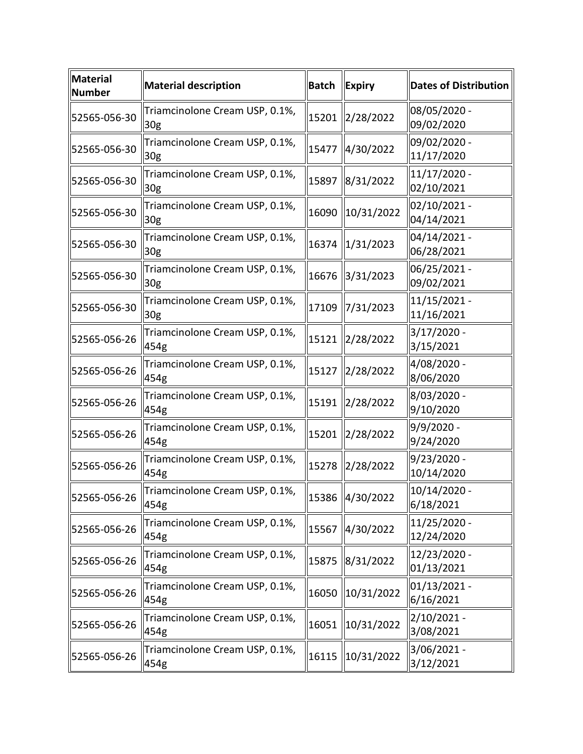| Material<br><b>Number</b> | <b>Material description</b>                       | <b>Batch</b> | <b>Expiry</b>   | <b>Dates of Distribution</b> |
|---------------------------|---------------------------------------------------|--------------|-----------------|------------------------------|
| 52565-056-30              | Triamcinolone Cream USP, 0.1%,<br>30g             | 15201        | 2/28/2022       | 08/05/2020 -<br>09/02/2020   |
| 52565-056-30              | Triamcinolone Cream USP, 0.1%,<br>30 <sub>g</sub> | 15477        | 4/30/2022       | 09/02/2020 -<br>11/17/2020   |
| 52565-056-30              | Triamcinolone Cream USP, 0.1%,<br>30 <sub>g</sub> | 15897        | 8/31/2022       | 11/17/2020 -<br>02/10/2021   |
| 52565-056-30              | Triamcinolone Cream USP, 0.1%,<br>30 <sub>g</sub> | 16090        | 10/31/2022      | 02/10/2021 -<br>04/14/2021   |
| 52565-056-30              | Triamcinolone Cream USP, 0.1%,<br>30 <sub>g</sub> | 16374        | 1/31/2023       | 04/14/2021 -<br>06/28/2021   |
| 52565-056-30              | Triamcinolone Cream USP, 0.1%,<br>30 <sub>g</sub> | 16676        | 3/31/2023       | 06/25/2021 -<br>09/02/2021   |
| 52565-056-30              | Triamcinolone Cream USP, 0.1%,<br>30 <sub>g</sub> | 17109        | 7/31/2023       | 11/15/2021 -<br>11/16/2021   |
| 52565-056-26              | Triamcinolone Cream USP, 0.1%,<br>454g            | 15121        | 2/28/2022       | $3/17/2020$ -<br>3/15/2021   |
| 52565-056-26              | Triamcinolone Cream USP, 0.1%,<br>454g            | 15127        | 2/28/2022       | 4/08/2020 -<br>8/06/2020     |
| 52565-056-26              | Triamcinolone Cream USP, 0.1%,<br>454g            | 15191        | 2/28/2022       | 8/03/2020 -<br>9/10/2020     |
| 52565-056-26              | Triamcinolone Cream USP, 0.1%,<br>454g            | 15201        | 2/28/2022       | 9/9/2020 -<br>9/24/2020      |
| 52565-056-26              | Triamcinolone Cream USP, 0.1%,<br>454g            | 15278        | 2/28/2022       | $9/23/2020 -$<br>10/14/2020  |
| 52565-056-26              | Triamcinolone Cream USP, 0.1%,<br>454g            |              | 15386 4/30/2022 | $10/14/2020$ -<br>6/18/2021  |
| 52565-056-26              | Triamcinolone Cream USP, 0.1%,<br>454g            | 15567        | 4/30/2022       | 11/25/2020 -<br>12/24/2020   |
| 52565-056-26              | Triamcinolone Cream USP, 0.1%,<br>454g            | 15875        | 8/31/2022       | 12/23/2020 -<br>01/13/2021   |
| 52565-056-26              | Triamcinolone Cream USP, 0.1%,<br>454g            | 16050        | 10/31/2022      | 01/13/2021 -<br>6/16/2021    |
| 52565-056-26              | Triamcinolone Cream USP, 0.1%,<br>454g            | 16051        | 10/31/2022      | $2/10/2021 -$<br>3/08/2021   |
| 52565-056-26              | Triamcinolone Cream USP, 0.1%,<br>454g            | 16115        | 10/31/2022      | 3/06/2021 -<br>3/12/2021     |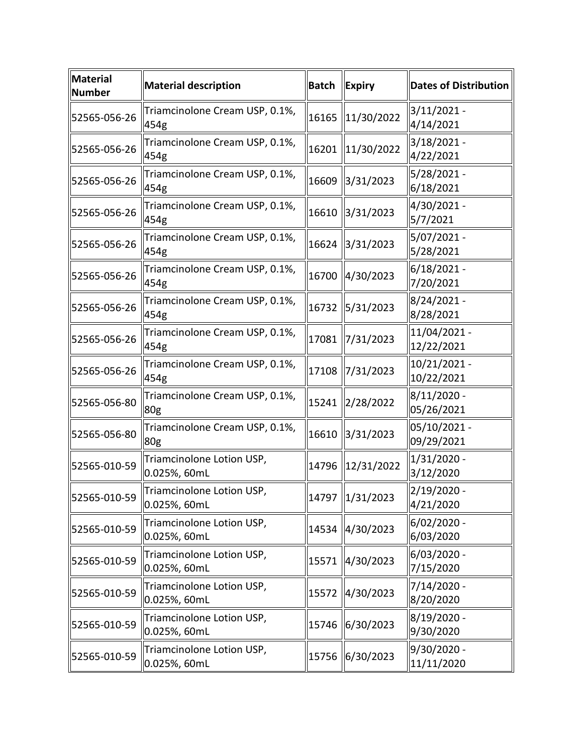| Material<br><b>Number</b> | <b>Material description</b>               | <b>Batch</b> | $\ $ Expiry            | <b>Dates of Distribution</b> |
|---------------------------|-------------------------------------------|--------------|------------------------|------------------------------|
| 52565-056-26              | Triamcinolone Cream USP, 0.1%,<br>454g    | 16165        | $\parallel$ 11/30/2022 | $3/11/2021 -$<br>4/14/2021   |
| 52565-056-26              | Triamcinolone Cream USP, 0.1%,<br>454g    | 16201        | 11/30/2022             | 3/18/2021 -<br>4/22/2021     |
| 52565-056-26              | Triamcinolone Cream USP, 0.1%,<br>454g    | 16609        | 3/31/2023              | 5/28/2021 -<br>6/18/2021     |
| 52565-056-26              | Triamcinolone Cream USP, 0.1%,<br>454g    | 16610        | 3/31/2023              | 4/30/2021 -<br>5/7/2021      |
| 52565-056-26              | Triamcinolone Cream USP, 0.1%,<br>454g    | 16624        | $\frac{3}{31/2023}$    | 5/07/2021 -<br>5/28/2021     |
| 52565-056-26              | Triamcinolone Cream USP, 0.1%,<br>454g    | 16700        | $\ 4/30/2023$          | $6/18/2021 -$<br>7/20/2021   |
| 52565-056-26              | Triamcinolone Cream USP, 0.1%,<br>454g    | 16732        | 5/31/2023              | 8/24/2021 -<br>8/28/2021     |
| 52565-056-26              | Triamcinolone Cream USP, 0.1%,<br>454g    | 17081        | $\frac{1}{2}$ /31/2023 | 11/04/2021 -<br>12/22/2021   |
| 52565-056-26              | Triamcinolone Cream USP, 0.1%,<br>454g    | 17108        | $\frac{1}{2}$ /31/2023 | 10/21/2021 -<br>10/22/2021   |
| 52565-056-80              | Triamcinolone Cream USP, 0.1%,<br>80g     | 15241        | $\frac{2}{28/2022}$    | $8/11/2020$ -<br>05/26/2021  |
| 52565-056-80              | Triamcinolone Cream USP, 0.1%,<br>80g     | 16610        | $\frac{3}{31/2023}$    | 05/10/2021 -<br>09/29/2021   |
| 52565-010-59              | Triamcinolone Lotion USP,<br>0.025%, 60mL | 14796        | 12/31/2022             | $1/31/2020$ -<br>3/12/2020   |
| 52565-010-59              | Triamcinolone Lotion USP,<br>0.025%, 60mL |              | 14797 1/31/2023        | $2/19/2020$ -<br>4/21/2020   |
| 52565-010-59              | Triamcinolone Lotion USP,<br>0.025%, 60mL | 14534        | 4/30/2023              | 6/02/2020 -<br>6/03/2020     |
| 52565-010-59              | Triamcinolone Lotion USP,<br>0.025%, 60mL | 15571        | 4/30/2023              | 6/03/2020 -<br>7/15/2020     |
| 52565-010-59              | Triamcinolone Lotion USP,<br>0.025%, 60mL | 15572        | $\ 4/30/2023$          | 7/14/2020 -<br>8/20/2020     |
| 52565-010-59              | Triamcinolone Lotion USP,<br>0.025%, 60mL | 15746        | 6/30/2023              | 8/19/2020 -<br>9/30/2020     |
| 52565-010-59              | Triamcinolone Lotion USP,<br>0.025%, 60mL | 15756        | 6/30/2023              | 9/30/2020 -<br>11/11/2020    |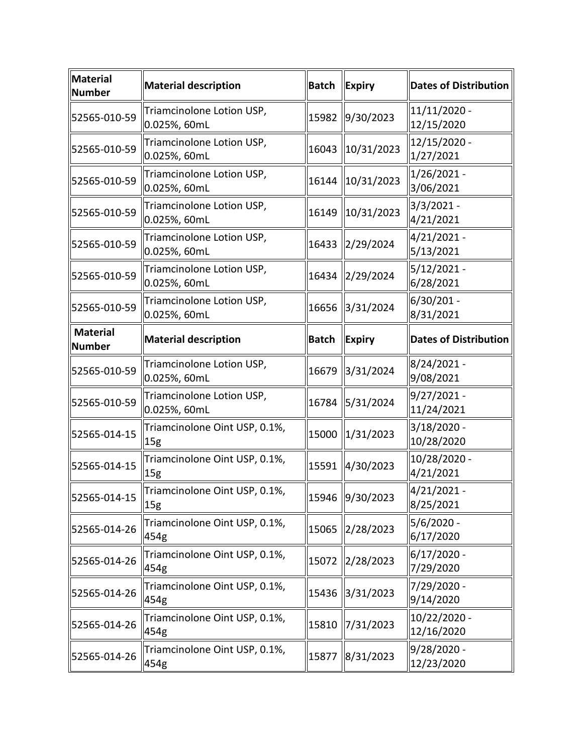| Material<br><b>Number</b> | <b>Material description</b>                      | <b>Batch</b> | Expiry                 | <b>Dates of Distribution</b> |
|---------------------------|--------------------------------------------------|--------------|------------------------|------------------------------|
| 52565-010-59              | Triamcinolone Lotion USP,<br>0.025%, 60mL        | 15982        | 9/30/2023              | 11/11/2020 -<br>12/15/2020   |
| 52565-010-59              | Triamcinolone Lotion USP,<br>0.025%, 60mL        | 16043        | $\parallel$ 10/31/2023 | 12/15/2020 -<br>1/27/2021    |
| 52565-010-59              | Triamcinolone Lotion USP,<br>0.025%, 60mL        | 16144        | 10/31/2023             | $1/26/2021 -$<br>3/06/2021   |
| 52565-010-59              | Triamcinolone Lotion USP,<br>0.025%, 60mL        | 16149        | $\ 10/31/2023$         | 3/3/2021 -<br>4/21/2021      |
| 52565-010-59              | Triamcinolone Lotion USP,<br>0.025%, 60mL        | 16433        | 2/29/2024              | 4/21/2021 -<br>5/13/2021     |
| 52565-010-59              | Triamcinolone Lotion USP,<br>0.025%, 60mL        | 16434        | 2/29/2024              | 5/12/2021 -<br>6/28/2021     |
| 52565-010-59              | Triamcinolone Lotion USP,<br>0.025%, 60mL        | 16656        | 3/31/2024              | 6/30/201 -<br>8/31/2021      |
| <b>Material</b><br>Number | <b>Material description</b>                      | <b>Batch</b> | <b>Expiry</b>          | <b>Dates of Distribution</b> |
| 52565-010-59              | Triamcinolone Lotion USP,<br>0.025%, 60mL        | 16679        | 3/31/2024              | 8/24/2021 -<br>9/08/2021     |
| 52565-010-59              | Triamcinolone Lotion USP,<br>0.025%, 60mL        | 16784        | 5/31/2024              | 9/27/2021 -<br>11/24/2021    |
| 52565-014-15              | Triamcinolone Oint USP, 0.1%,<br>15g             | 15000        | $\ 1/31/2023$          | 3/18/2020 -<br>10/28/2020    |
| 52565-014-15              | Triamcinolone Oint USP, 0.1%,<br>15 <sub>g</sub> | 15591        | 4/30/2023              | 10/28/2020 -<br>4/21/2021    |
| 52565-014-15              | Triamcinolone Oint USP, 0.1%,<br>15g             |              | 15946 9/30/2023        | $4/21/2021$ -<br>8/25/2021   |
| 52565-014-26              | Triamcinolone Oint USP, 0.1%,<br>454g            | 15065        | 2/28/2023              | 5/6/2020 -<br>6/17/2020      |
| 52565-014-26              | Triamcinolone Oint USP, 0.1%,<br>454g            | 15072        | $\ 2/28/2023$          | $6/17/2020 -$<br>7/29/2020   |
| 52565-014-26              | Triamcinolone Oint USP, 0.1%,<br>454g            | 15436        | 3/31/2023              | 7/29/2020 -<br>9/14/2020     |
| 52565-014-26              | Triamcinolone Oint USP, 0.1%,<br>454g            | 15810        | 7/31/2023              | 10/22/2020 -<br>12/16/2020   |
| 52565-014-26              | Triamcinolone Oint USP, 0.1%,<br>454g            | 15877        | 8/31/2023              | 9/28/2020 -<br>12/23/2020    |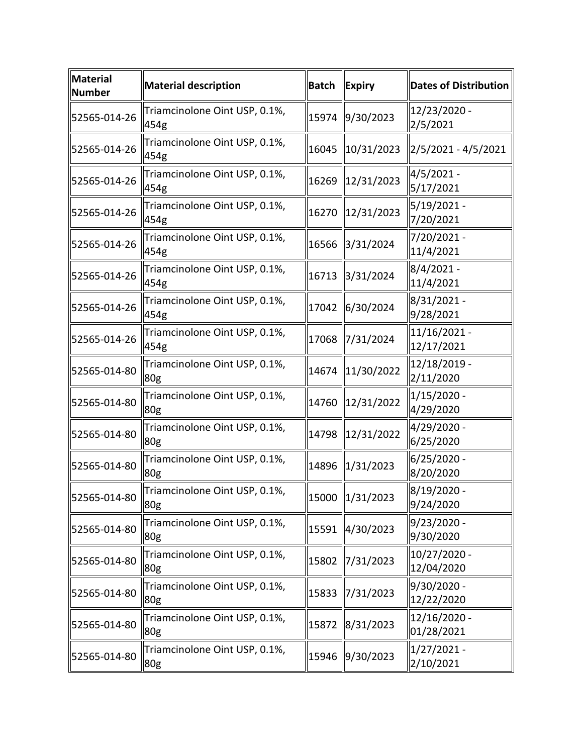| <b>Material</b><br><b>Number</b> | <b>Material description</b>                      | <b>Batch</b> | Expiry                 | <b>Dates of Distribution</b> |
|----------------------------------|--------------------------------------------------|--------------|------------------------|------------------------------|
| 52565-014-26                     | Triamcinolone Oint USP, 0.1%,<br>454g            |              | 15974 9/30/2023        | 12/23/2020 -<br>2/5/2021     |
| 52565-014-26                     | Triamcinolone Oint USP, 0.1%,<br>454g            | 16045        | 10/31/2023             | 2/5/2021 - 4/5/2021          |
| 52565-014-26                     | Triamcinolone Oint USP, 0.1%,<br>454g            | 16269        | 12/31/2023             | 4/5/2021 -<br>5/17/2021      |
| 52565-014-26                     | Triamcinolone Oint USP, 0.1%,<br>454g            | 16270        | 12/31/2023             | 5/19/2021 -<br>7/20/2021     |
| 52565-014-26                     | Triamcinolone Oint USP, 0.1%,<br>454g            | 16566        | 3/31/2024              | 7/20/2021 -<br>11/4/2021     |
| 52565-014-26                     | Triamcinolone Oint USP, 0.1%,<br>454g            | 16713        | 3/31/2024              | $8/4/2021 -$<br>11/4/2021    |
| 52565-014-26                     | Triamcinolone Oint USP, 0.1%,<br>454g            | 17042        | 6/30/2024              | 8/31/2021 -<br>9/28/2021     |
| 52565-014-26                     | Triamcinolone Oint USP, 0.1%,<br>454g            | 17068        | $\frac{1}{2}$ /31/2024 | 11/16/2021 -<br>12/17/2021   |
| 52565-014-80                     | Triamcinolone Oint USP, 0.1%,<br>80 <sub>g</sub> | 14674        | $\ 11/30/2022\ $       | 12/18/2019 -<br>2/11/2020    |
| 52565-014-80                     | Triamcinolone Oint USP, 0.1%,<br>80g             | 14760        | 12/31/2022             | $1/15/2020$ -<br>4/29/2020   |
| 52565-014-80                     | Triamcinolone Oint USP, 0.1%,<br>80g             | 14798        | 12/31/2022             | 4/29/2020 -<br>6/25/2020     |
| 52565-014-80                     | Triamcinolone Oint USP, 0.1%,<br>80g             | 14896        | $\ 1/31/2023\ $        | 6/25/2020 -<br>8/20/2020     |
| 52565-014-80                     | Triamcinolone Oint USP, 0.1%,<br>80g             |              | 15000 1/31/2023        | 8/19/2020 -<br>9/24/2020     |
| 52565-014-80                     | Triamcinolone Oint USP, 0.1%,<br>80g             |              | 15591 4/30/2023        | $9/23/2020 -$<br>9/30/2020   |
| 52565-014-80                     | Triamcinolone Oint USP, 0.1%,<br>80g             | 15802        | $\frac{1}{2}$ /31/2023 | 10/27/2020 -<br>12/04/2020   |
| 52565-014-80                     | Triamcinolone Oint USP, 0.1%,<br>80g             | 15833        | 7/31/2023              | 9/30/2020 -<br>12/22/2020    |
| 52565-014-80                     | Triamcinolone Oint USP, 0.1%,<br>80g             | 15872        | 8/31/2023              | 12/16/2020 -<br>01/28/2021   |
| 52565-014-80                     | Triamcinolone Oint USP, 0.1%,<br>80g             | 15946        | 9/30/2023              | 1/27/2021 -<br>2/10/2021     |